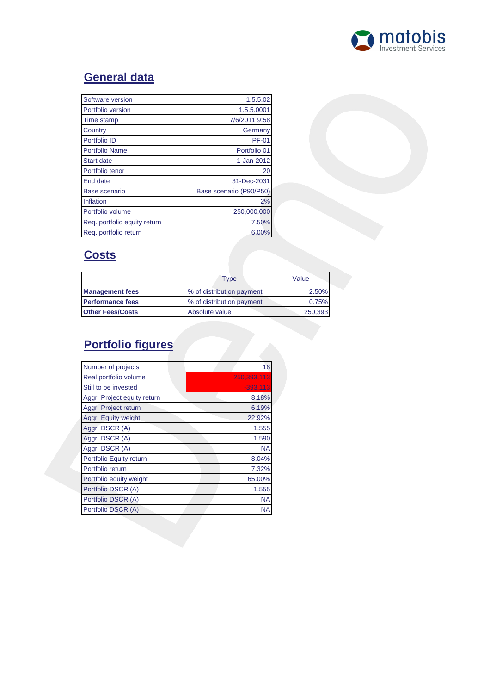

# **General data**

| Software version             | 1.5.5.02                |
|------------------------------|-------------------------|
| Portfolio version            | 1.5.5.0001              |
| Time stamp                   | 7/6/2011 9:58           |
| Country                      | Germany                 |
| Portfolio ID                 | <b>PF-01</b>            |
| <b>Portfolio Name</b>        | Portfolio 01            |
| <b>Start date</b>            | 1-Jan-2012              |
| Portfolio tenor              | 20                      |
| End date                     | 31-Dec-2031             |
| Base scenario                | Base scenario (P90/P50) |
| Inflation                    | 2%                      |
| Portfolio volume             | 250,000,000             |
| Reg. portfolio equity return | 7.50%                   |
| Reg. portfolio return        | 6.00%                   |

## **Costs**

|                         | Type                      | Value   |
|-------------------------|---------------------------|---------|
| <b>Management fees</b>  | % of distribution payment | 2.50%   |
| <b>Performance fees</b> | % of distribution payment | 0.75%   |
| <b>Other Fees/Costs</b> | Absolute value            | 250,393 |

# **Portfolio figures**

| Number of projects          | 18          |
|-----------------------------|-------------|
| Real portfolio volume       | 250,393,113 |
| Still to be invested        | $-393,113$  |
| Aggr. Project equity return | 8.18%       |
| Aggr. Project return        | 6.19%       |
| Aggr. Equity weight         | 22.92%      |
| Aggr. DSCR (A)              | 1.555       |
| Aggr. DSCR (A)              | 1.590       |
| Aggr. DSCR (A)              | <b>NA</b>   |
| Portfolio Equity return     | 8.04%       |
| Portfolio return            | 7.32%       |
| Portfolio equity weight     | 65.00%      |
| Portfolio DSCR (A)          | 1.555       |
| Portfolio DSCR (A)          | <b>NA</b>   |
| Portfolio DSCR (A)          | NA          |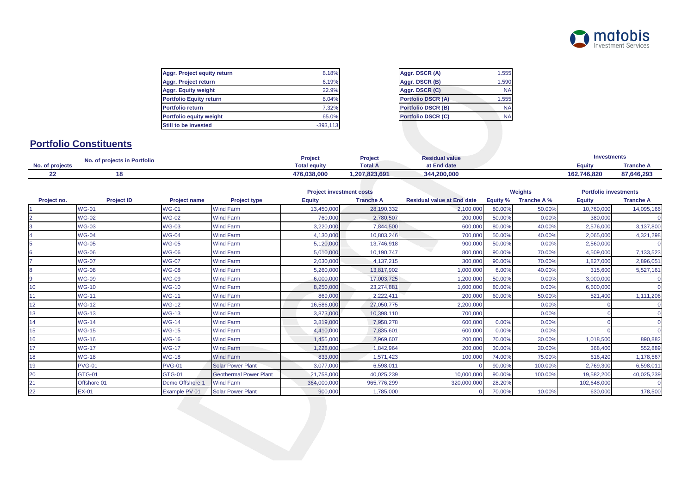

| Aggr. Project equity return    | 8.18%      |
|--------------------------------|------------|
| Aggr. Project return           | 6.19%      |
| <b>Aggr. Equity weight</b>     | 22.9%      |
| <b>Portfolio Equity return</b> | 8.04%      |
| <b>Portfolio return</b>        | 7.32%      |
| Portfolio equity weight        | 65.0%      |
| Still to be invested           | $-393.113$ |
|                                |            |

| ℅             | Aggr. DSCR (A)            | 1.555 |
|---------------|---------------------------|-------|
| %             | Aggr. DSCR (B)            | 1.590 |
| ℅             | Aggr. DSCR (C)            | ΝA    |
| ℅             | <b>Portfolio DSCR (A)</b> | 1.555 |
| $\frac{1}{2}$ | <b>Portfolio DSCR (B)</b> | ΝA    |
| %             | <b>Portfolio DSCR (C)</b> | ΝA    |
|               |                           |       |

## **Portfolio Constituents**

|                 | No. of projects in Portfolio |                     | Project        | <b>Residual value</b> | <b>Investments</b> |            |  |
|-----------------|------------------------------|---------------------|----------------|-----------------------|--------------------|------------|--|
| No. of projects |                              | <b>Total equity</b> | <b>Total A</b> | at End date           | Eauitv             | Tranche A  |  |
|                 | 18                           | 476,038,000         | 1,207,823,691  | 344.200.000           | 162,746,820        | 87,646,293 |  |

|             |                   |                     |                               |               | <b>Project investment costs</b> |                                   |                 | <b>Weights</b> |               | <b>Portfolio investments</b> |
|-------------|-------------------|---------------------|-------------------------------|---------------|---------------------------------|-----------------------------------|-----------------|----------------|---------------|------------------------------|
| Project no. | <b>Project ID</b> | <b>Project name</b> | Project type                  | <b>Equity</b> | <b>Tranche A</b>                | <b>Residual value at End date</b> | <b>Equity %</b> | Tranche A %    | <b>Equity</b> | <b>Tranche A</b>             |
|             | <b>WG-01</b>      | <b>WG-01</b>        | Wind Farm                     | 13,450,000    | 28,190,332                      | 2,100,000                         | 80.00%          | 50.00%         | 10,760,000    | 14,095,166                   |
|             | <b>WG-02</b>      | <b>WG-02</b>        | Wind Farm                     | 760,000       | 2,780,507                       | 200,000                           | 50.00%          | 0.00%          | 380,000       |                              |
|             | <b>WG-03</b>      | <b>WG-03</b>        | <b>Wind Farm</b>              | 3,220,000     | 7,844,500                       | 600,000                           | 80.00%          | 40.00%         | 2,576,000     | 3,137,800                    |
|             | <b>WG-04</b>      | <b>WG-04</b>        | <b>Wind Farm</b>              | 4,130,000     | 10,803,246                      | 700,000                           | 50.00%          | 40.00%         | 2,065,000     | 4,321,298                    |
|             | <b>WG-05</b>      | <b>WG-05</b>        | <b>Wind Farm</b>              | 5,120,000     | 13,746,918                      | 900,000                           | 50.00%          | 0.00%          | 2,560,000     |                              |
|             | <b>WG-06</b>      | <b>WG-06</b>        | <b>Wind Farm</b>              | 5,010,000     | 10,190,747                      | 800,000                           | 90.00%          | 70.00%         | 4,509,000     | 7,133,523                    |
|             | <b>WG-07</b>      | <b>WG-07</b>        | <b>Wind Farm</b>              | 2,030,000     | 4, 137, 215                     | 300,000                           | 90.00%          | 70.00%         | 1,827,000     | 2,896,051                    |
|             | <b>WG-08</b>      | <b>WG-08</b>        | <b>Wind Farm</b>              | 5,260,000     | 13,817,902                      | 1,000,000                         | 6.00%           | 40.00%         | 315,600       | 5,527,161                    |
|             | <b>WG-09</b>      | <b>WG-09</b>        | <b>Wind Farm</b>              | 6,000,000     | 17,003,725                      | 1,200,000                         | 50.00%          | 0.00%          | 3,000,000     |                              |
| 10          | <b>WG-10</b>      | <b>WG-10</b>        | <b>Wind Farm</b>              | 8,250,000     | 23,274,881                      | 1,600,000                         | 80.00%          | 0.00%          | 6,600,000     |                              |
|             | <b>WG-11</b>      | <b>WG-11</b>        | <b>Wind Farm</b>              | 869,000       | 2,222,41                        | 200,000                           | 60.00%          | 50.00%         | 521,400       | 1,111,206                    |
| 12          | <b>WG-12</b>      | <b>WG-12</b>        | <b>Wind Farm</b>              | 16,586,000    | 27,050,775                      | 2,200,000                         |                 | 0.00%          |               |                              |
| 13          | <b>WG-13</b>      | <b>WG-13</b>        | <b>Wind Farm</b>              | 3,873,000     | 10,398,110                      | 700,000                           |                 | 0.00%          |               |                              |
| 14          | <b>WG-14</b>      | <b>WG-14</b>        | <b>Wind Farm</b>              | 3,819,000     | 7,958,278                       | 600,000                           | 0.00%           | 0.00%          |               |                              |
| 15          | <b>WG-15</b>      | <b>WG-15</b>        | <b>Wind Farm</b>              | 4,410,000     | 7,835,601                       | 600,000                           | 0.00%           | 0.00%          |               |                              |
| 16          | <b>WG-16</b>      | <b>WG-16</b>        | <b>Wind Farm</b>              | 1,455,000     | 2,969,607                       | 200,000                           | 70.00%          | 30.00%         | 1,018,500     | 890,882                      |
| 17          | <b>WG-17</b>      | <b>WG-17</b>        | <b>Wind Farm</b>              | 1,228,000     | 1,842,964                       | 200,000                           | 30.00%          | 30.00%         | 368,400       | 552,889                      |
| 18          | <b>WG-18</b>      | <b>WG-18</b>        | <b>Wind Farm</b>              | 833,000       | 1,571,423                       | 100,000                           | 74.00%          | 75.00%         | 616,420       | 1,178,567                    |
| 19          | <b>PVG-01</b>     | <b>PVG-01</b>       | <b>Solar Power Plant</b>      | 3,077,000     | 6,598,011                       |                                   | 90.00%          | 100.00%        | 2,769,300     | 6,598,011                    |
| 20          | <b>GTG-01</b>     | <b>GTG-01</b>       | <b>Geothermal Power Plant</b> | 21,758,000    | 40,025,239                      | 10,000,000                        | 90.00%          | 100.00%        | 19,582,200    | 40,025,239                   |
|             | Offshore 01       | Demo Offshore 1     | <b>Wind Farm</b>              | 364,000,000   | 965,776,299                     | 320,000,000                       | 28.20%          |                | 102,648,000   |                              |
| 22          | <b>EX-01</b>      | Example PV 01       | <b>Solar Power Plant</b>      | 900,000       | 1,785,000                       |                                   | 70.00%          | 10.00%         | 630,000       | 178,500                      |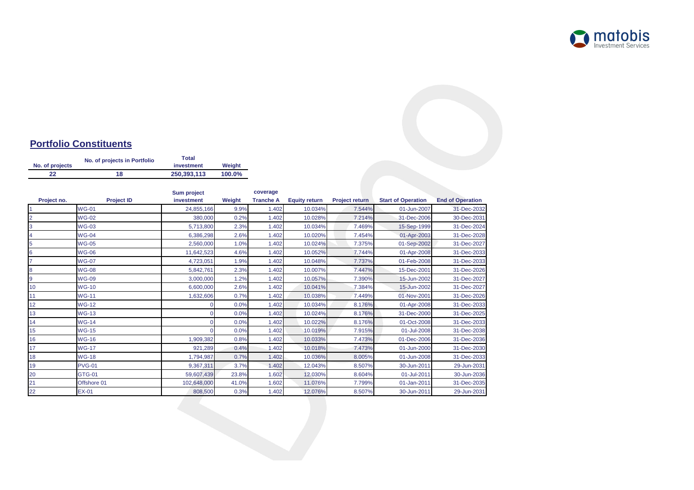

## **Portfolio Constituents**

| No. of projects | No. of projects in Portfolio | <b>Total</b><br>investment | Weight |  |
|-----------------|------------------------------|----------------------------|--------|--|
| 22              | 18                           | 250.393.113                | 100.0% |  |

|                |                   | <b>Sum project</b> |        | coverage         |                      |                       |                           |                         |
|----------------|-------------------|--------------------|--------|------------------|----------------------|-----------------------|---------------------------|-------------------------|
| Project no.    | <b>Project ID</b> | investment         | Weight | <b>Tranche A</b> | <b>Equity return</b> | <b>Project return</b> | <b>Start of Operation</b> | <b>End of Operation</b> |
|                | <b>WG-01</b>      | 24,855,166         | 9.9%   | 1.402            | 10.034%              | 7.544%                | 01-Jun-2007               | 31-Dec-2032             |
| $\overline{2}$ | <b>WG-02</b>      | 380,000            | 0.2%   | 1.402            | 10.028%              | 7.214%                | 31-Dec-2006               | 30-Dec-2031             |
| 3              | <b>WG-03</b>      | 5,713,800          | 2.3%   | 1.402            | 10.034%              | 7.469%                | 15-Sep-1999               | 31-Dec-2024             |
|                | $WG-04$           | 6,386,298          | 2.6%   | 1.402            | 10.020%              | 7.454%                | 01-Apr-2003               | 31-Dec-2028             |
| 5              | <b>WG-05</b>      | 2,560,000          | 1.0%   | 1.402            | 10.024%              | 7.375%                | 01-Sep-2002               | 31-Dec-2027             |
| 6              | <b>WG-06</b>      | 11,642,523         | 4.6%   | 1.402            | 10.052%              | 7.744%                | 01-Apr-2008               | 31-Dec-2033             |
|                | <b>WG-07</b>      | 4,723,051          | 1.9%   | 1.402            | 10.048%              | 7.737%                | 01-Feb-2008               | 31-Dec-2033             |
| 8              | <b>WG-08</b>      | 5,842,761          | 2.3%   | 1.402            | 10.007%              | 7.447%                | 15-Dec-2001               | 31-Dec-2026             |
| 9              | <b>WG-09</b>      | 3,000,000          | 1.2%   | 1.402            | 10.057%              | 7.390%                | 15-Jun-2002               | 31-Dec-2027             |
| 10             | <b>WG-10</b>      | 6,600,000          | 2.6%   | 1.402            | 10.041%              | 7.384%                | 15-Jun-2002               | 31-Dec-2027             |
| 11             | <b>WG-11</b>      | 1,632,606          | 0.7%   | 1.402            | 10.038%              | 7.449%                | 01-Nov-2001               | 31-Dec-2026             |
| 12             | <b>WG-12</b>      |                    | 0.0%   | 1.402            | 10.034%              | 8.176%                | 01-Apr-2008               | 31-Dec-2033             |
| 13             | <b>WG-13</b>      |                    | 0.0%   | 1.402            | 10.024%              | 8.176%                | 31-Dec-2000               | 31-Dec-2025             |
| 14             | <b>WG-14</b>      |                    | 0.0%   | 1.402            | 10.022%              | 8.176%                | 01-Oct-2008               | 31-Dec-2033             |
| 15             | <b>WG-15</b>      |                    | 0.0%   | 1.402            | 10.019%              | 7.915%                | 01-Jul-2008               | 31-Dec-2038             |
| 16             | <b>WG-16</b>      | 1,909,382          | 0.8%   | 1.402            | 10.033%              | 7.473%                | 01-Dec-2006               | 31-Dec-2036             |
| 17             | <b>WG-17</b>      | 921,289            | 0.4%   | 1.402            | 10.018%              | 7.473%                | 01-Jun-2000               | 31-Dec-2030             |
| 18             | <b>WG-18</b>      | 1,794,987          | 0.7%   | 1.402            | 10.036%              | 8.005%                | 01-Jun-2008               | 31-Dec-2033             |
| 19             | <b>PVG-01</b>     | 9,367,311          | 3.7%   | 1.402            | 12.043%              | 8.507%                | 30-Jun-2011               | 29-Jun-2031             |
| 20             | <b>GTG-01</b>     | 59,607,439         | 23.8%  | 1.602            | 12.030%              | 8.604%                | 01-Jul-2011               | 30-Jun-2036             |
| 21             | Offshore 01       | 102,648,000        | 41.0%  | 1.602            | 11.076%              | 7.799%                | 01-Jan-2011               | 31-Dec-2035             |
| 22             | $EX-01$           | 808,500            | 0.3%   | 1.402            | 12.076%              | 8.507%                | 30-Jun-2011               | 29-Jun-2031             |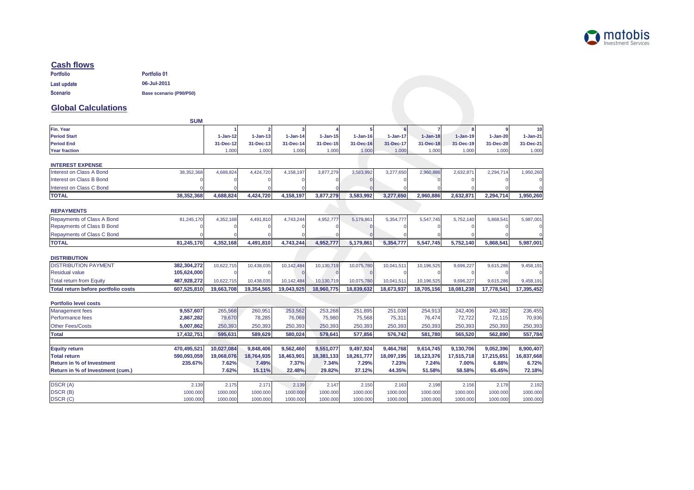

#### **Cash flows**

| <b>Portfolio</b> | <b>Portfolio 01</b>     |
|------------------|-------------------------|
| Last update      | 06-Jul-2011             |
| <b>Scenario</b>  | Base scenario (P90/P50) |

#### **Global Calculations**

| <b>SUM</b>                                         |            |              |              |                |              |              |              |              |              |              |
|----------------------------------------------------|------------|--------------|--------------|----------------|--------------|--------------|--------------|--------------|--------------|--------------|
| Fin. Year                                          |            |              |              |                |              |              |              |              |              | 10           |
| <b>Period Start</b>                                | $1-Jan-12$ | $1 - Jan-13$ | $1 - Jan-14$ | $1 - Jan - 15$ | $1 - Jan-16$ | $1 - Jan-17$ | $1 - Jan-18$ | $1 - Jan-19$ | $1 - Jan-20$ | $1 - Jan-21$ |
| <b>Period End</b>                                  | 31-Dec-12  | 31-Dec-13    | 31-Dec-14    | 31-Dec-15      | 31-Dec-16    | 31-Dec-17    | 31-Dec-18    | 31-Dec-19    | 31-Dec-20    | 31-Dec-21    |
| <b>Year fraction</b>                               | 1.000      | 1.000        | 1.000        | 1.000          | 1.000        | 1.000        | 1.000        | 1.000        | 1.000        | 1.000        |
| <b>INTEREST EXPENSE</b>                            |            |              |              |                |              |              |              |              |              |              |
| Interest on Class A Bond<br>38,352,368             | 4,688,824  | 4,424,720    | 4,158,197    | 3,877,279      | 3,583,992    | 3,277,650    | 2,960,886    | 2,632,87     | 2,294,714    | 1,950,260    |
| <b>Interest on Class B Bond</b>                    |            |              |              |                |              |              |              |              |              |              |
| Interest on Class C Bond                           |            |              |              |                |              |              |              |              |              |              |
| 38,352,368<br><b>TOTAL</b>                         | 4,688,824  | 4,424,720    | 4,158,197    | 3,877,279      | 3,583,992    | 3.277.650    | 2,960,886    | 2,632,871    | 2,294,714    | 1,950,260    |
| <b>REPAYMENTS</b>                                  |            |              |              |                |              |              |              |              |              |              |
| <b>Repayments of Class A Bond</b><br>81,245,170    | 4,352,168  | 4,491,810    | 4,743,244    | 4,952,777      | 5,179,861    | 5,354,777    | 5.547.745    | 5,752,140    | 5,868,541    | 5,987,001    |
| <b>Repayments of Class B Bond</b>                  |            |              |              |                |              |              |              |              |              |              |
| Repayments of Class C Bond                         |            |              |              |                |              |              |              |              |              |              |
| <b>TOTAL</b><br>81,245,170                         | 4,352,168  | 4,491,810    | 4,743,244    | 4,952,777      | 5,179,861    | 5,354,777    | 5,547,745    | 5,752,140    | 5,868,541    | 5,987,001    |
|                                                    |            |              |              |                |              |              |              |              |              |              |
| <b>DISTRIBUTION</b>                                |            |              |              |                |              |              |              |              |              |              |
| <b>DISTRIBUTION PAYMENT</b><br>382,304,272         | 10,622,715 | 10,438,035   | 10,142,484   | 10,130,719     | 10,075,780   | 10,041,511   | 10,196,525   | 9,696,227    | 9,615,286    | 9,458,191    |
| 105,624,000<br><b>Residual value</b>               |            |              | $\cap$       |                |              |              |              |              |              |              |
| 487,928,272<br><b>Total return from Equity</b>     | 10,622,715 | 10,438,035   | 10,142,484   | 10,130,719     | 10,075,780   | 10,041,511   | 10,196,525   | 9,696,227    | 9,615,286    | 9,458,191    |
| Total return before portfolio costs<br>607,525,810 | 19,663,708 | 19,354,565   | 19,043,925   | 18,960,775     | 18,839,632   | 18,673,937   | 18,705,156   | 18,081,238   | 17,778,541   | 17,395,452   |
| <b>Portfolio level costs</b>                       |            |              |              |                |              |              |              |              |              |              |
| 9,557,607<br><b>Management</b> fees                | 265,568    | 260,951      | 253,562      | 253,268        | 251,895      | 251,038      | 254,913      | 242,406      | 240.382      | 236.455      |
| Performance fees<br>2,867,282                      | 79,670     | 78,285       | 76,069       | 75,980         | 75,568       | 75,311       | 76,474       | 72,722       | 72,115       | 70,936       |
| <b>Other Fees/Costs</b><br>5,007,862               | 250,393    | 250,393      | 250,393      | 250,393        | 250,393      | 250,393      | 250,393      | 250,393      | 250,393      | 250,393      |
| 17,432,751<br>Total                                | 595,631    | 589.629      | 580,024      | 579,641        | 577,856      | 576.742      | 581.780      | 565,520      | 562,890      | 557,784      |
|                                                    |            |              |              |                |              |              |              |              |              |              |
| 470,495,521<br><b>Equity return</b>                | 10,027,084 | 9,848,406    | 9,562,460    | 9,551,077      | 9,497,924    | 9,464,768    | 9,614,745    | 9,130,706    | 9,052,396    | 8,900,407    |
| <b>Total return</b><br>590,093,059                 | 19,068,076 | 18,764,935   | 18,463,901   | 18,381,133     | 18,261,777   | 18,097,195   | 18,123,376   | 17,515,718   | 17,215,651   | 16,837,668   |
| <b>Return in % of Investment</b><br>235.67%        | 7.62%      | 7.49%        | 7.37%        | 7.34%          | 7.29%        | 7.23%        | 7.24%        | 7.00%        | 6.88%        | 6.72%        |
| Return in % of Investment (cum.)                   | 7.62%      | 15.11%       | 22.48%       | 29.82%         | 37.12%       | 44.35%       | 51.58%       | 58.58%       | 65.45%       | 72.18%       |
| <b>DSCR (A)</b><br>2.139                           | 2.175      | 2.171        | 2.139        | 2.147          | 2.150        | 2.163        | 2.198        | 2.156        | 2.178        | 2.192        |
| <b>DSCR (B)</b><br>1000.000                        | 1000.000   | 1000.000     | 1000.000     | 1000.000       | 1000.000     | 1000.000     | 1000.000     | 1000.000     | 1000.000     | 1000.000     |
| <b>DSCR (C)</b><br>1000.000                        | 1000.000   | 1000.000     | 1000.000     | 1000.000       | 1000.000     | 1000.000     | 1000.000     | 1000.000     | 1000.000     | 1000.000     |